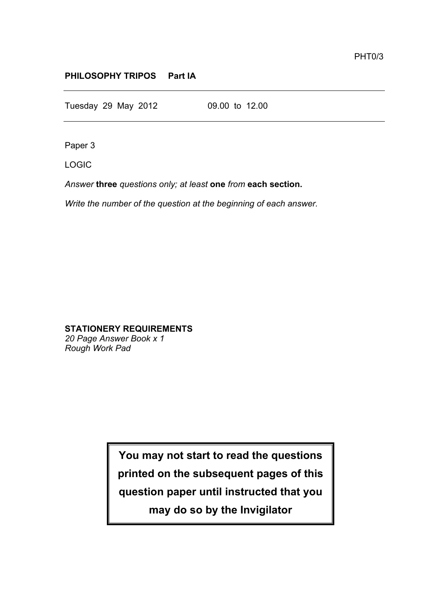## **PHILOSOPHY TRIPOS Part IA**

Tuesday 29 May 2012 09.00 to 12.00

Paper 3

LOGIC

*Answer* **three** *questions only; at least* **one** *from* **each section.**

*Write the number of the question at the beginning of each answer.*

# **STATIONERY REQUIREMENTS**

*20 Page Answer Book x 1 Rough Work Pad*

> **You may not start to read the questions printed on the subsequent pages of this question paper until instructed that you may do so by the Invigilator**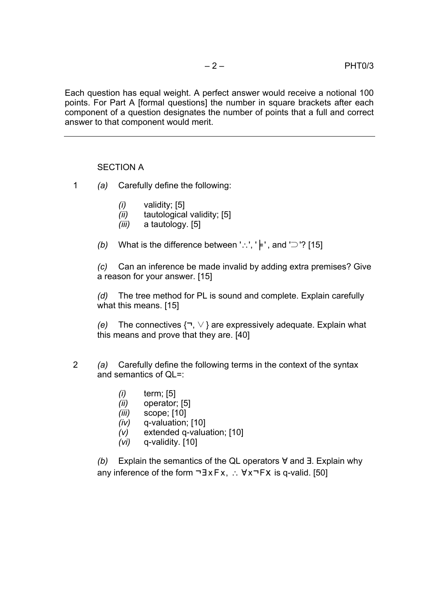Each question has equal weight. A perfect answer would receive a notional 100 points. For Part A [formal questions] the number in square brackets after each component of a question designates the number of points that a full and correct answer to that component would merit.

#### SECTION A

- 1 *(a)* Carefully define the following:
	- *(i)* validity; [5]
	- *(ii)* tautological validity; [5]
	- *(iii)* a tautology. [5]
	- *(b)* What is the difference between '∴', ' |⊧', and '⊃'? [15]

*(c)* Can an inference be made invalid by adding extra premises? Give a reason for your answer. [15]

*(d)* The tree method for PL is sound and complete. Explain carefully what this means. [15]

*(e)* The connectives {¬, ∨ } are expressively adequate. Explain what this means and prove that they are. [40]

- 2 *(a)* Carefully define the following terms in the context of the syntax and semantics of QL=:
	- *(i)* term; [5]
	- *(ii)* operator; [5]
	- *(iii)* scope; [10]
	- *(iv)* q-valuation; [10]
	- *(v)* extended q-valuation; [10]
	- *(vi)* q-validity. [10]

*(b)* Explain the semantics of the QL operators ∀ and ∃. Explain why any inference of the form ¬∃ x F x, ∴ ∀x¬Fx is q-valid. [50]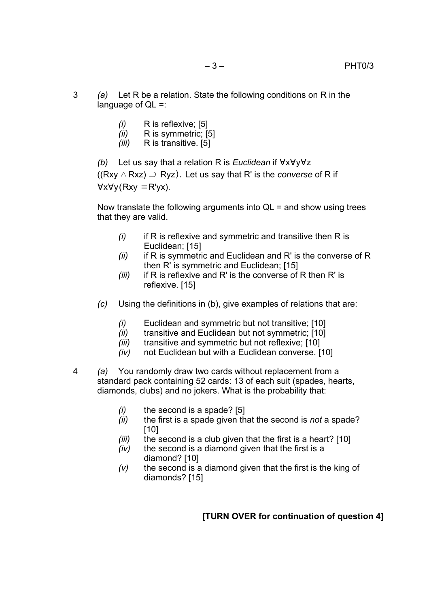- 3 *(a)* Let R be a relation. State the following conditions on R in the language of  $QL =$ :
	- *(i)* R is reflexive; [5]
	- *(ii)* R is symmetric; [5]
	- *(iii)* R is transitive. [5]

*(b)* Let us say that a relation R is *Euclidean* if ∀x∀y∀z

((Rxy ∧ Rxz) ⊃ Ryz). Let us say that R' is the *converse* of R if ∀x∀y(Rxy ≡R'yx).

Now translate the following arguments into  $QL =$  and show using trees that they are valid.

- *(i)* if R is reflexive and symmetric and transitive then R is Euclidean; [15]
- *(ii)* if R is symmetric and Euclidean and R' is the converse of R then R' is symmetric and Euclidean; [15]
- *(iii)* if R is reflexive and R' is the converse of R then R' is reflexive. [15]
- *(c)* Using the definitions in (b), give examples of relations that are:
	- *(i)* Euclidean and symmetric but not transitive; [10]
	- *(ii)* transitive and Euclidean but not symmetric; [10]
	- *(iii)* transitive and symmetric but not reflexive; [10]
	- *(iv)* not Euclidean but with a Euclidean converse. [10]
- 4 *(a)* You randomly draw two cards without replacement from a standard pack containing 52 cards: 13 of each suit (spades, hearts, diamonds, clubs) and no jokers. What is the probability that:
	- *(i)* the second is a spade? [5]
	- *(ii)* the first is a spade given that the second is *not* a spade? [10]
	- *(iii)* the second is a club given that the first is a heart? [10]
	- *(iv)* the second is a diamond given that the first is a diamond? [10]
	- *(v)* the second is a diamond given that the first is the king of diamonds? [15]

## **[TURN OVER for continuation of question 4]**